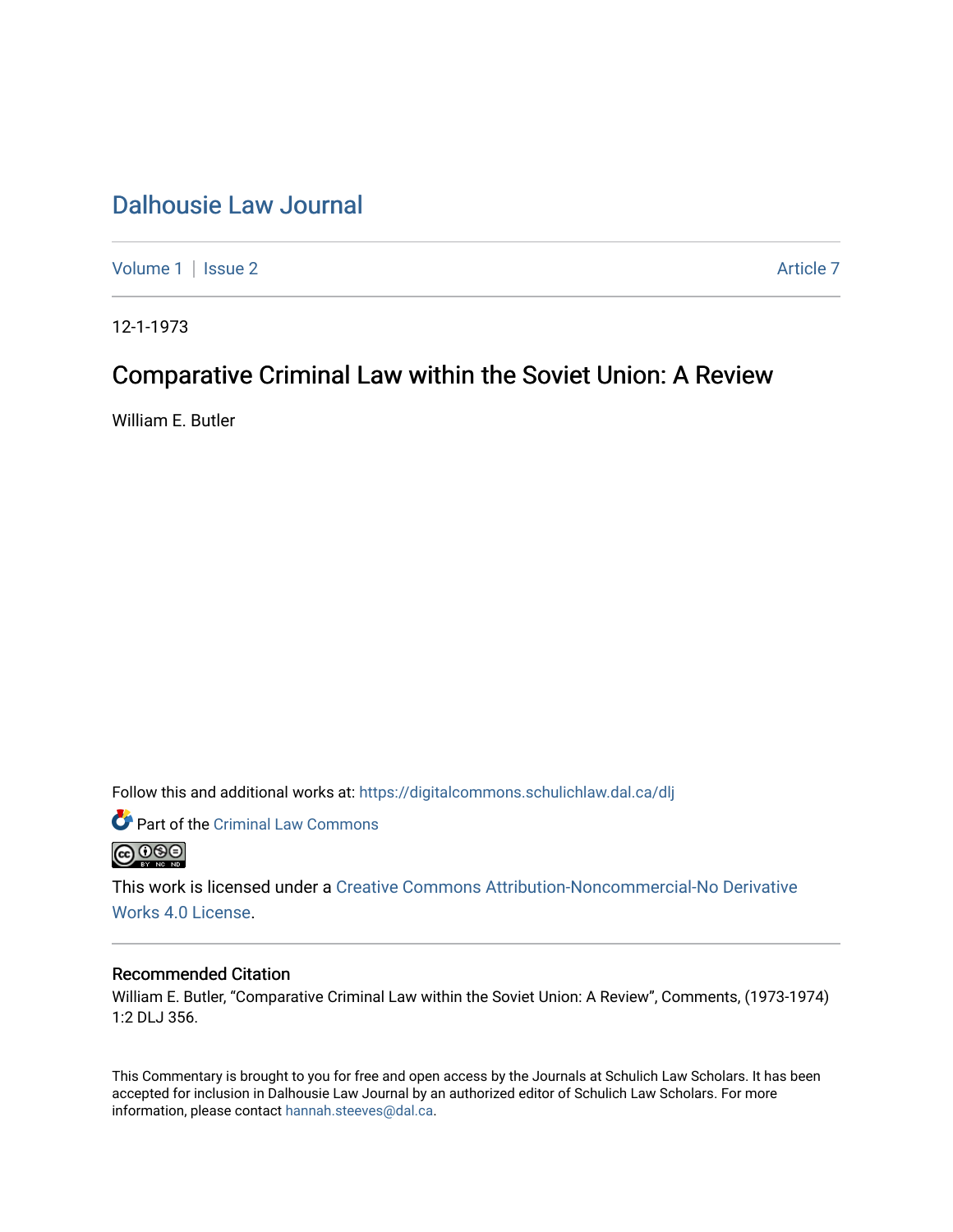## [Dalhousie Law Journal](https://digitalcommons.schulichlaw.dal.ca/dlj)

[Volume 1](https://digitalcommons.schulichlaw.dal.ca/dlj/vol1) | [Issue 2](https://digitalcommons.schulichlaw.dal.ca/dlj/vol1/iss2) Article 7

12-1-1973

## Comparative Criminal Law within the Soviet Union: A Review

William E. Butler

Follow this and additional works at: [https://digitalcommons.schulichlaw.dal.ca/dlj](https://digitalcommons.schulichlaw.dal.ca/dlj?utm_source=digitalcommons.schulichlaw.dal.ca%2Fdlj%2Fvol1%2Fiss2%2F7&utm_medium=PDF&utm_campaign=PDFCoverPages) 



This work is licensed under a [Creative Commons Attribution-Noncommercial-No Derivative](https://creativecommons.org/licenses/by-nc-nd/4.0/)  [Works 4.0 License](https://creativecommons.org/licenses/by-nc-nd/4.0/).

## Recommended Citation

William E. Butler, "Comparative Criminal Law within the Soviet Union: A Review", Comments, (1973-1974) 1:2 DLJ 356.

This Commentary is brought to you for free and open access by the Journals at Schulich Law Scholars. It has been accepted for inclusion in Dalhousie Law Journal by an authorized editor of Schulich Law Scholars. For more information, please contact [hannah.steeves@dal.ca](mailto:hannah.steeves@dal.ca).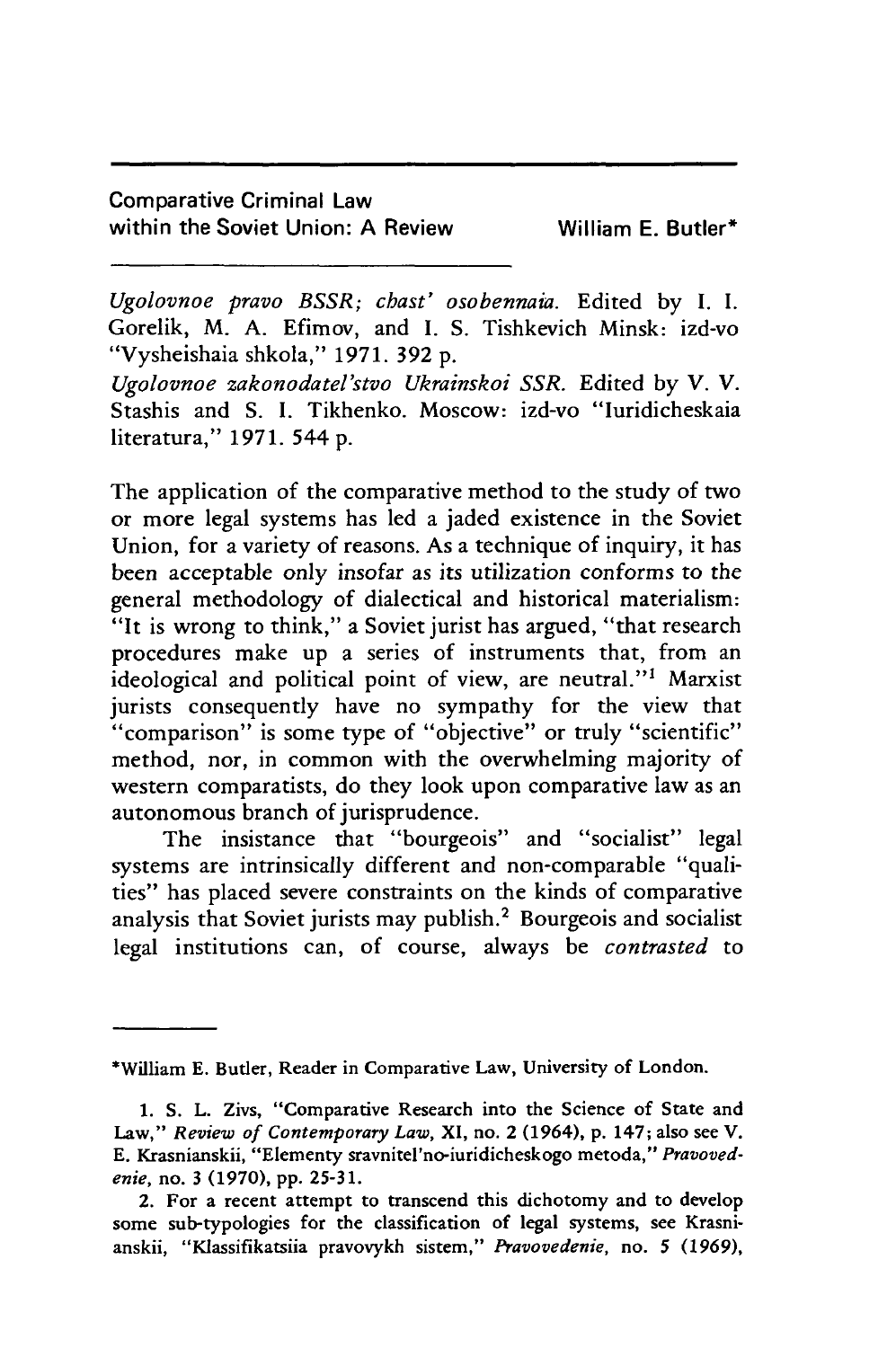## Comparative Criminal Law within the Soviet Union: A Review William E. Butler<sup>\*</sup>

*Ugolovnoe pravo BSSR; chast' osobennaia.* Edited by I. I. Gorelik, M. A. Efimov, and I. S. Tishkevich Minsk: izd-vo "Vysheishaia shkola," 1971. 392 p.

*Ugolovnoe zakonodatel'stvo Ukrainskoi SSR.* Edited by V. V. Stashis and S. I. Tikhenko. Moscow: izd-vo "Iuridicheskaia literatura," 1971. 544 p.

The application of the comparative method to the study of two or more legal systems has led a jaded existence in the Soviet Union, for a variety of reasons. As a technique of inquiry, it has been acceptable only insofar as its utilization conforms to the general methodology of dialectical and historical materialism: "It is wrong to think," a Soviet jurist has argued, "that research procedures make up a series of instruments that, from an ideological and political point of view, are neutral."' Marxist jurists consequently have no sympathy for the view that ''comparison" is some type of "objective" or truly "scientific" method, nor, in common with the overwhelming majority of western comparatists, do they look upon comparative law as an autonomous branch of jurisprudence.

The insistance that "bourgeois" and "socialist" legal systems are intrinsically different and non-comparable "qualities" has placed severe constraints on the kinds of comparative analysis that Soviet jurists may publish.<sup>2</sup> Bourgeois and socialist legal institutions can, of course, always be *contrasted* to

<sup>\*</sup>William **E.** Butler, Reader in Comparative Law, University of London.

<sup>1.</sup> **S.** L. Zivs, "Comparative Research into the Science of State and Law," *Review of Contemporary Law,* XI, no. 2 (1964), p. 147; also see V. E. Krasnianskii, "Elementy sravnitel'no-iuridicheskogo metoda," *Pravovedenie,* no. **3** (1970), pp. 25-31.

<sup>2.</sup> For a recent attempt to transcend this dichotomy and to develop some sub-typologies for the classification of legal systems, see Krasnianskii, "Klassifikatsiia pravovykh sistem," *Pravovedenie,* no. 5 (1969),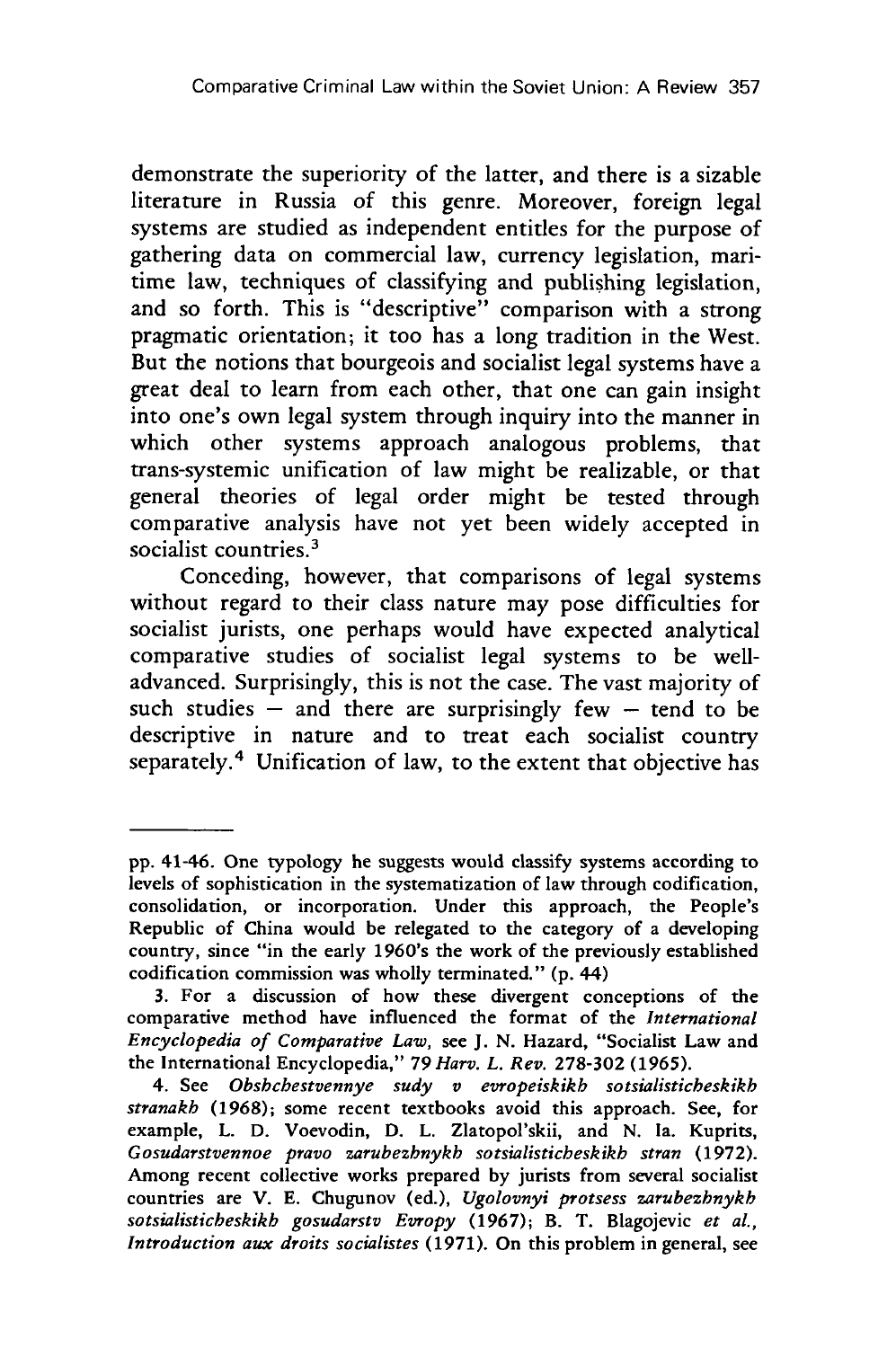demonstrate the superiority of the latter, and there is a sizable literature in Russia of this genre. Moreover, foreign legal systems are studied as independent entitles for the purpose of gathering data on commercial law, currency legislation, maritime law, techniques of classifying and publishing legislation, and so forth. This is "descriptive" comparison with a strong pragmatic orientation; it too has a long tradition in the West. But the notions that bourgeois and socialist legal systems have a great deal to learn from each other, that one can gain insight into one's own legal system through inquiry into the manner in which other systems approach analogous problems, that trans-systemic unification of law might be realizable, or that general theories of legal order might be tested through comparative analysis have not yet been widely accepted in socialist countries.<sup>3</sup>

Conceding, however, that comparisons of legal systems without regard to their class nature may pose difficulties for socialist jurists, one perhaps would have expected analytical comparative studies of socialist legal systems to be welladvanced. Surprisingly, this is not the case. The vast majority of such studies  $\frac{1}{x}$  and there are surprisingly few  $-$  tend to be descriptive in nature and to treat each socialist country separately.<sup>4</sup> Unification of law, to the extent that objective has

**pp.** 41-46. One typology he suggests would classify systems according to levels of sophistication in the systematization of law through codification, consolidation, or incorporation. Under this approach, the People's Republic of China would be relegated to the category of a developing country, since "in the early 1960's the work of the previously established codification commission was wholly terminated." (p. 44)

<sup>3.</sup> For a discussion of how these divergent conceptions of the comparative method have influenced the format of the *International Encyclopedia of Comparative Law,* see J. N. Hazard, "Socialist Law and the International Encyclopedia," *79 Harv. L. Rev.* 278-302 (1965).

<sup>4.</sup> See *Obsbcbestvennye sudy v evropeiskikb sotsialisticbeskikb stranakb* (1968); some recent textbooks avoid this approach. See, for example, L. D. Voevodin, **D.** L. Zlatopol'skii, and N. Ia. Kuprits, *Gosudarstvennoe pravo zarubezbnykb sotsialisticbeskikb stran* (1972). Among recent collective works prepared by jurists from several socialist countries are V. E. Chugunov (ed.), *Ugolovnyi protsess zarubezhnykb sotsialisticbeskikb gosudarstv Evropy* (1967); B. T. Blagojevic *et al., Introduction aux droits socialistes* (1971). On this problem in general, see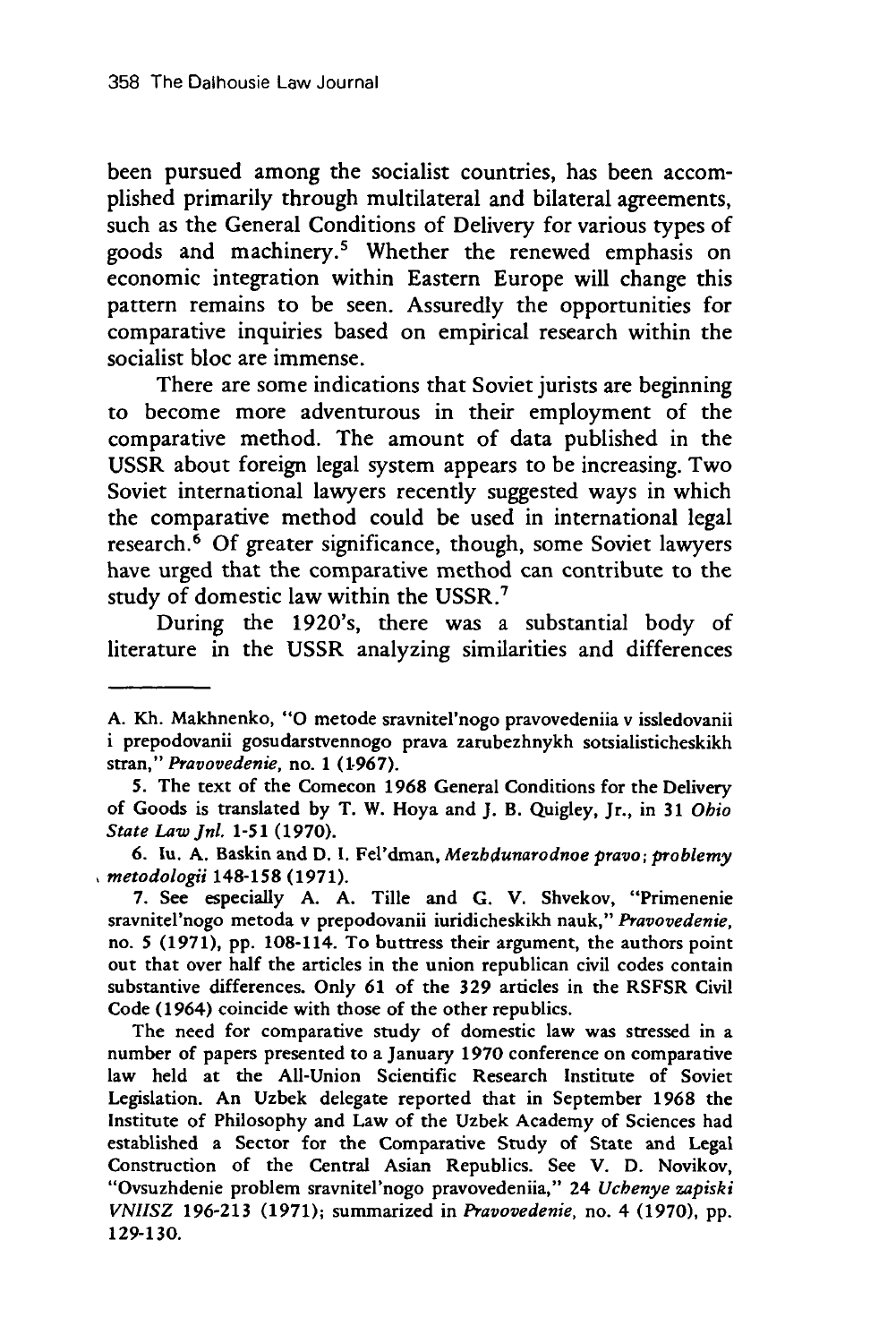been pursued among the socialist countries, has been accomplished primarily through multilateral and bilateral agreements, such as the General Conditions of Delivery for various types of goods and machinery.' Whether the renewed emphasis on economic integration within Eastern Europe will change this pattern remains to be seen. Assuredly the opportunities for comparative inquiries based on empirical research within the socialist bloc are immense.

There are some indications that Soviet jurists are beginning to become more adventurous in their employment of the comparative method. The amount of data published in the USSR about foreign legal system appears to be increasing. Two Soviet international lawyers recently suggested ways in which the comparative method could be used in international legal research.<sup>6</sup> Of greater significance, though, some Soviet lawyers have urged that the comparative method can contribute to the study of domestic law within the USSR."

During the 1920's, there was a substantial body of literature in the USSR analyzing similarities and differences

7. See especially A. A. Tille and G. V. Shvekov, "Primenenie sravnitel'nogo metoda v prepodovanii iuridicheskikh nauk," *Pravovedenie,* no. 5 (1971), pp. 108-114. To buttress their argument, the authors point out that over half the articles in the union republican civil codes contain substantive differences. Only 61 of the 329 articles in the RSFSR Civil Code (1964) coincide with those of the other republics.

The need for comparative study of domestic law was stressed in a number of papers presented to a January 1970 conference on comparative law held at the All-Union Scientific Research Institute of Soviet Legislation. An Uzbek delegate reported that in September 1968 the Institute of Philosophy and Law of the Uzbek Academy of Sciences had established a Sector for the Comparative Study of State and Legal Construction of the Central Asian Republics. See V. D. Novikov, "Ovsuzhdenie problem sravnitel'nogo pravovedeniia," 24 *Ucbenye zapiski VNIISZ* 196-213 (1971); summarized in *Pravovedenie,* no. 4 (1970), pp. 129-130.

A. Kh. Makhnenko, **"0** metode sravnitel'nogo pravovedeniia v issledovanii i prepodovanii gosudarstvennogo prava zarubezhnykh sotsialisticheskikh stran," *Pravovedenie,* no. 1 (1-967).

<sup>5.</sup> The text of the Comecon 1968 General Conditions for the Delivery of Goods is translated by T. W. Hoya and J. B. Quigley, Jr., in 31 *Obio State Law JnI.* 1-51 (1970).

<sup>6.</sup> lu. **A.** Baskin and D. **1.** Fel'dman, *Mezbdunarodnoe pravo; problemy metodologii* 148-158 (1971).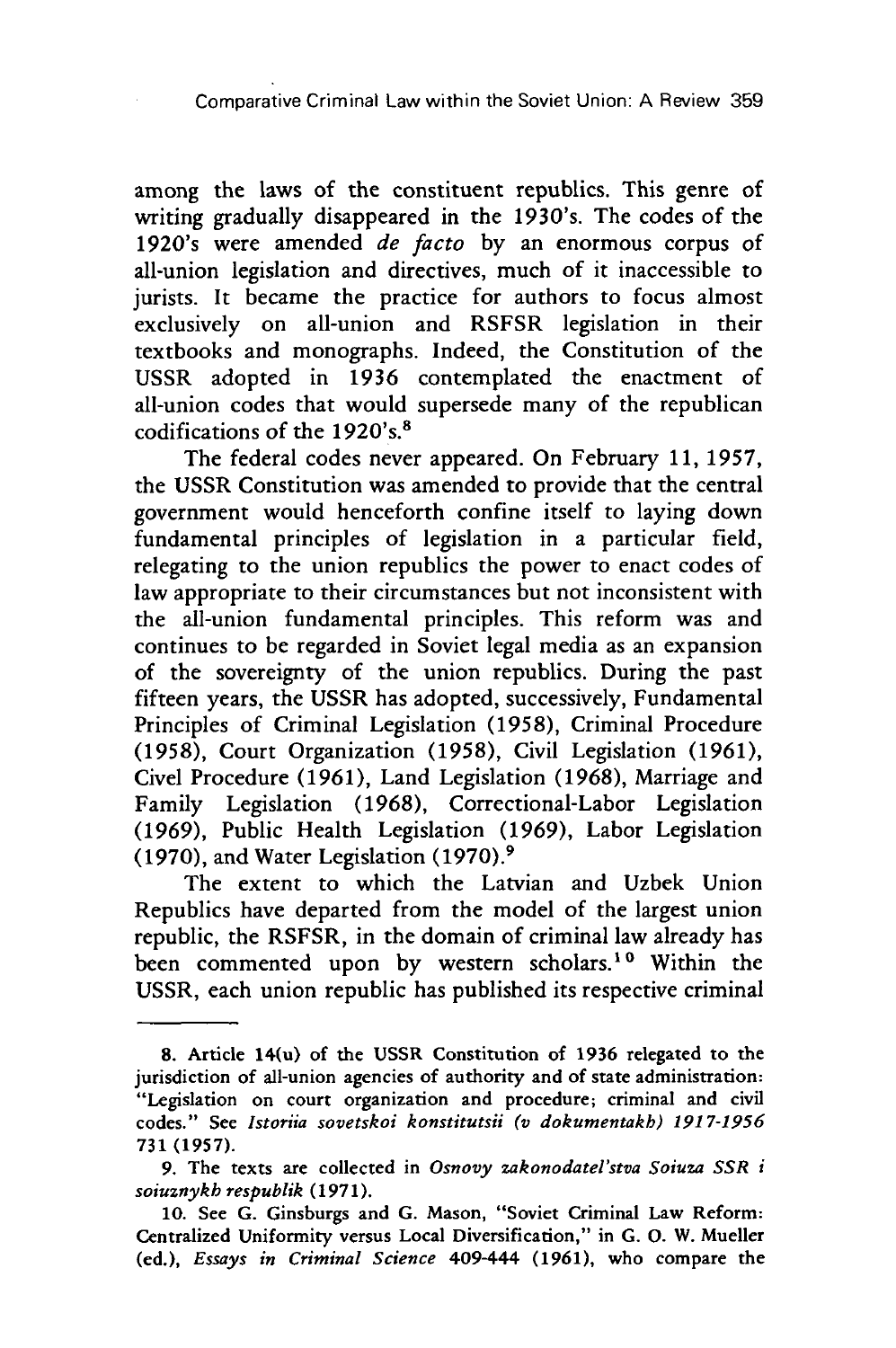among the laws of the constituent republics. This genre of writing gradually disappeared in the 1930's. The codes of the 1920's were amended *de* facto by an enormous corpus of all-union legislation and directives, much of it inaccessible to jurists. It became the practice for authors to focus almost exclusively on all-union and RSFSR legislation in their textbooks and monographs. Indeed, the Constitution of the USSR adopted in 1936 contemplated the enactment of all-union codes that would supersede many of the republican codifications of the 1920's.8

The federal codes never appeared. On February **11, 1957,** the **USSR** Constitution was amended to provide that the central government would henceforth confine itself to laying down fundamental principles of legislation in a particular field, relegating to the union republics the power to enact codes of law appropriate to their circumstances but not inconsistent with the all-union fundamental principles. This reform was and continues to be regarded in Soviet legal media as an expansion of the sovereignty of the union republics. During the past fifteen years, the **USSR** has adopted, successively, Fundamental Principles of Criminal Legislation **(1958),** Criminal Procedure **(1958),** Court Organization **(1958),** Civil Legislation **(1961),** Civel Procedure **(1961),** Land Legislation **(1968),** Marriage and Family Legislation **(1968),** Correctional-Labor Legislation **(1969),** Public Health Legislation **(1969),** Labor Legislation **(1970),** and Water Legislation (1970). <sup>9</sup>

The extent to which the Latvian and Uzbek Union Republics have departed from the model of the largest union republic, the RSFSR, in the domain of criminal law already has been commented upon by western scholars.<sup>10</sup> Within the USSR, each union republic has published its respective criminal

**<sup>8.</sup>** Article 14(u) of the **USSR** Constitution of **1936** relegated to the jurisdiction of all-union agencies of authority and of state administration: "Legislation on court organization and procedure; criminal and civil codes." See *Istoriia sovetskoi konstitutsii (v dokumentakb) 1917-1956* 731 (1957).

<sup>9.</sup> The texts are collected in *Osnovy zakonodatel'stva Soiuza SSR i soiuznykb respublik* (1971).

<sup>10.</sup> See G. Ginsburgs and G. Mason, "Soviet Criminal Law Reform: Centralized Uniformity versus Local Diversification," in G. **0.** W. Mueller (ed.), *Essays in Criminal Science 409-444* (1961), who compare the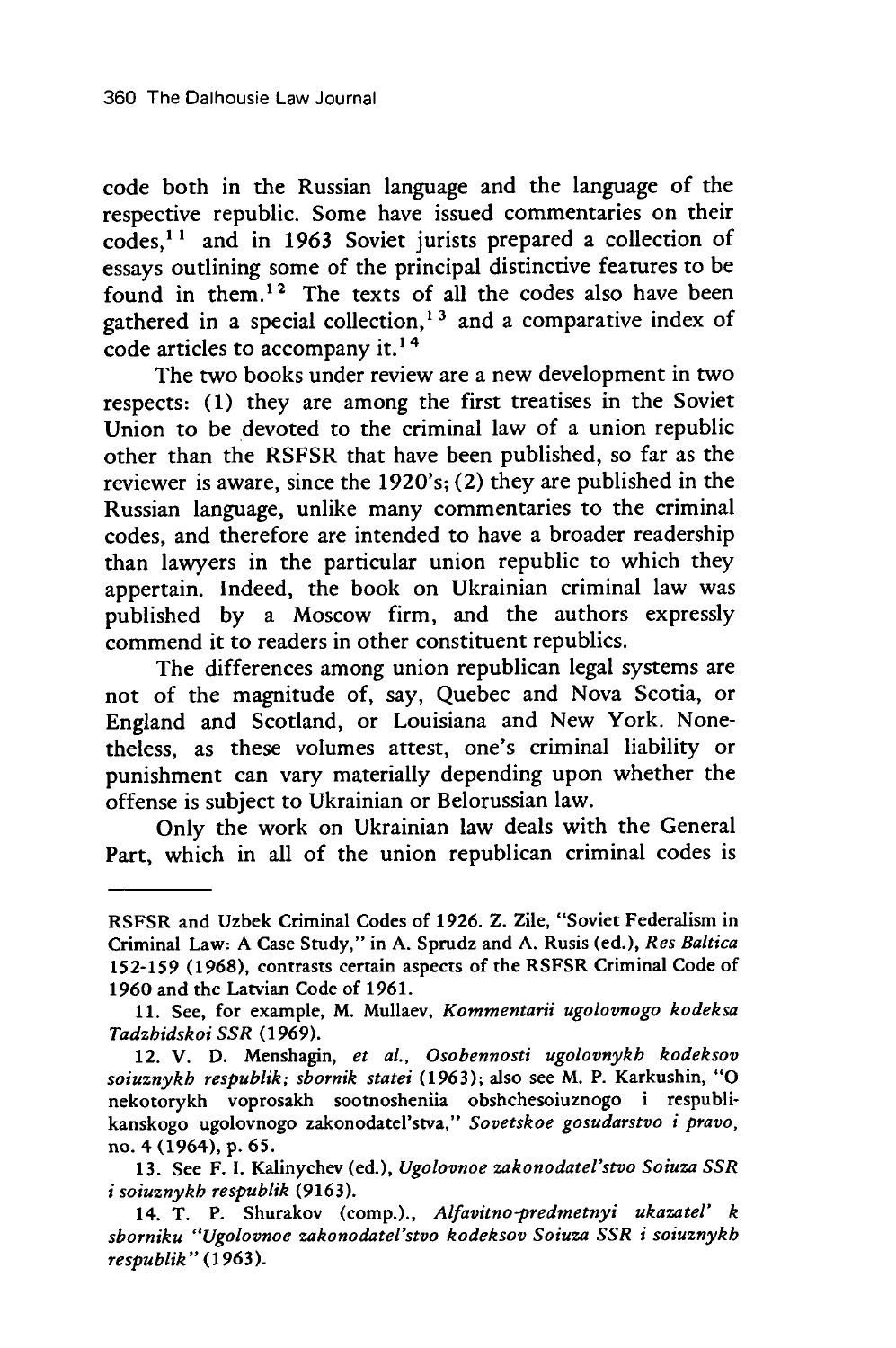code both in the Russian language and the language of the respective republic. Some have issued commentaries on their codes,1 **1** and in 1963 Soviet jurists prepared a collection of essays outlining some of the principal distinctive features to be found in them.12 The texts of all the codes also have been gathered in a special collection, **1<sup>3</sup>**and a comparative index of code articles to accompany it.<sup>14</sup>

The two books under review are a new development in two respects: (1) they are among the first treatises in the Soviet Union to be devoted to the criminal law of a union republic other than the RSFSR that have been published, so far as the reviewer is aware, since the 1920's; (2) they are published in the Russian language, unlike many commentaries to the criminal codes, and therefore are intended to have a broader readership than lawyers in the particular union republic to which they appertain. Indeed, the book on Ukrainian criminal law was published by a Moscow firm, and the authors expressly commend it to readers in other constituent republics.

The differences among union republican legal systems are not of the magnitude of, say, Quebec and Nova Scotia, or England and Scotland, or Louisiana and New York. Nonetheless, as these volumes attest, one's criminal liability or punishment can vary materially depending upon whether the offense is subject to Ukrainian or Belorussian law.

Only the work on Ukrainian law deals with the General Part, which in all of the union republican criminal codes is

RSFSR and Uzbek Criminal Codes of 1926. Z. Zile, "Soviet Federalism in Criminal Law: A Case Study," in **A.** Sprudz and **A.** Rusis (ed.), *Res Baltica* **152-159** (1968), contrasts certain aspects of the RSFSR Criminal Code of 1960 and the Latvian Code of 1961.

<sup>11.</sup> See, for example, M. Mullaev, *Kommentarii ugolovnogo kodeksa Tadzbidskoi SSR* (1969).

<sup>12.</sup> V. **D.** Menshagin, *et al., Osobennosti ugolovnykb kodeksov soiuznykb respublik; sbornik statei* (1963); also see M. P. Karkushin, **"0** nekotorykh voprosakh soomosheniia obshchesoiuznogo i respublikanskogo ugolovnogo zakonodatel'stva," *Sovetskoe gosudarstvo i pravo,* no. 4 (1964), p. **65.**

<sup>13.</sup> See F. I. Kalinychev (ed.), *Ugolovnoe zakonodatel'stvo Soiuza SSR i soiuznykb respublik* (9163).

<sup>14.</sup> T. P. Shurakov (comp.)., *Alfavitno-predmetnyi ukazatel' k sborniku "Ugolovnoe zakonodatel'stvo kodeksov Soiuza SSR i soiuznykb respublik"* (1963).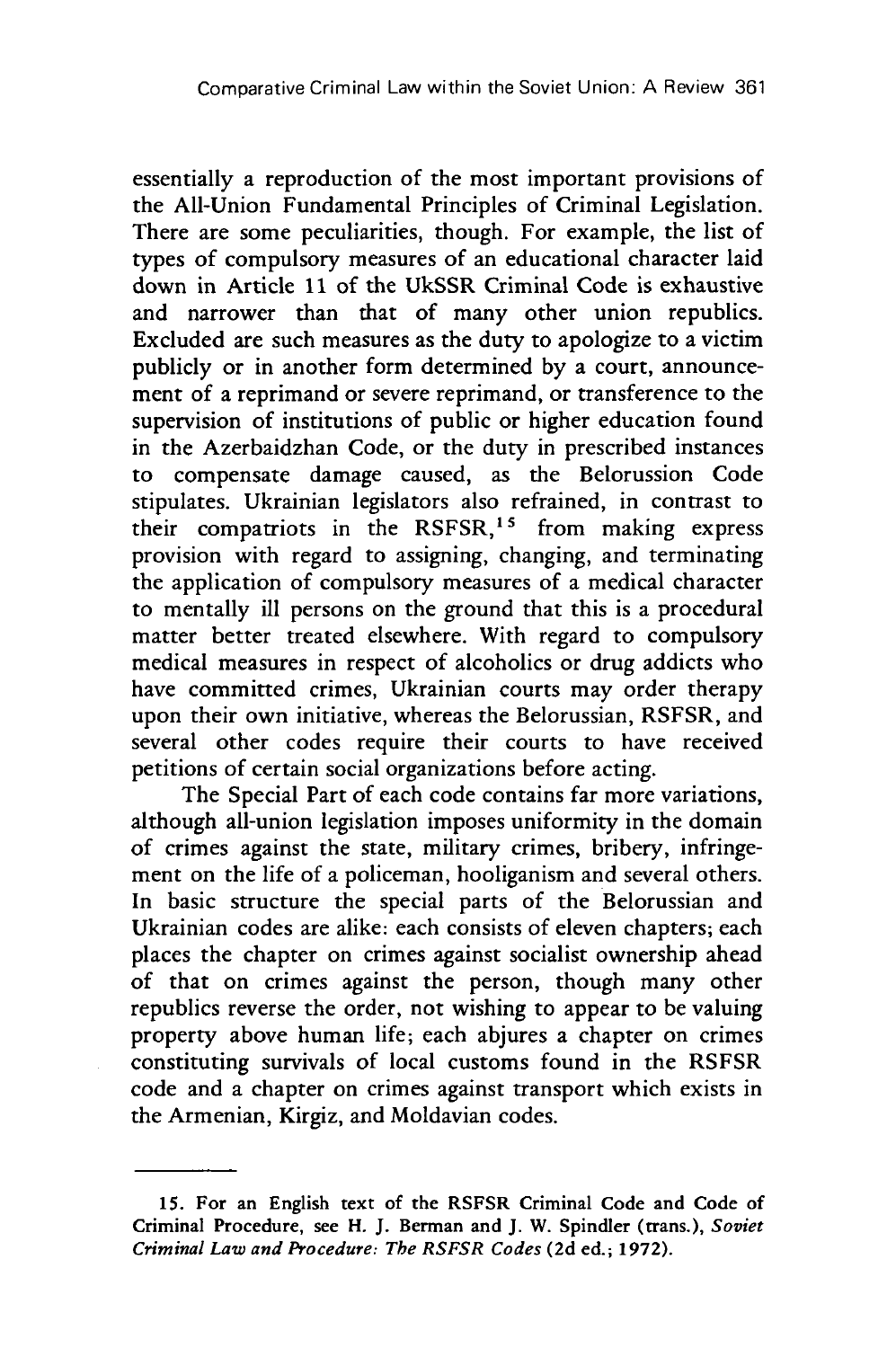essentially a reproduction of the most important provisions of the All-Union Fundamental Principles of Criminal Legislation. There are some peculiarities, though. For example, the list of types of compulsory measures of an educational character laid down in Article 11 of the UkSSR Criminal Code is exhaustive and narrower than that of many other union republics. Excluded are such measures as the duty to apologize to a victim publicly or in another form determined by a court, announcement of a reprimand or severe reprimand, or transference to the supervision of institutions of public or higher education found in the Azerbaidzhan Code, or the duty in prescribed instances to compensate damage caused, as the Belorussion Code stipulates. Ukrainian legislators also refrained, in contrast to their compatriots in the RSFSR,<sup>15</sup> from making express provision with regard to assigning, changing, and terminating the application of compulsory measures of a medical character to mentally ill persons on the ground that this is a procedural matter better treated elsewhere. With regard to compulsory medical measures in respect of alcoholics or drug addicts who have committed crimes, Ukrainian courts may order therapy upon their own initiative, whereas the Belorussian, RSFSR, and several other codes require their courts to have received petitions of certain social organizations before acting.

The Special Part of each code contains far more variations, although all-union legislation imposes uniformity in the domain of crimes against the state, military crimes, bribery, infringement on the life of a policeman, hooliganism and several others. In basic structure the special parts of the Belorussian and Ukrainian codes are alike: each consists of eleven chapters; each places the chapter on crimes against socialist ownership ahead of that on crimes against the person, though many other republics reverse the order, not wishing to appear to be valuing property above human life; each abjures a chapter on crimes constituting survivals of local customs found in the RSFSR code and a chapter on crimes against transport which exists in the Armenian, Kirgiz, and Moldavian codes.

**<sup>15.</sup>** For an English text of the RSFSR Criminal Code and Code of Criminal Procedure, see H. J. Berman and J. W. Spindler (trans.), *Soviet Criminal Law and Procedure: The RSFSR Codes* **(2d** ed.; **1972).**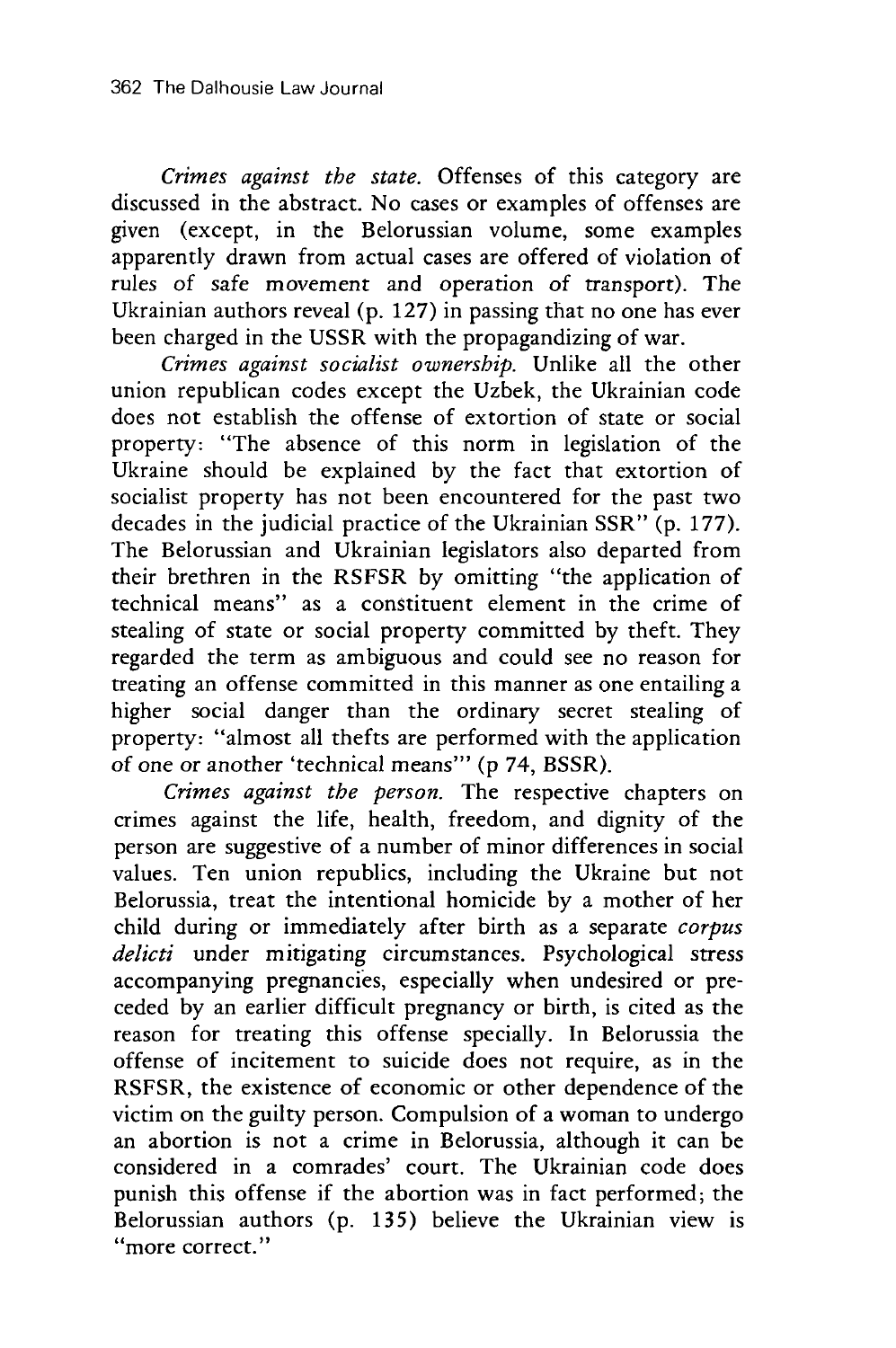*Crimes against the state.* Offenses of this category are discussed in the abstract. No cases or examples of offenses are given (except, in the Belorussian volume, some examples apparently drawn from actual cases are offered of violation of rules of safe movement and operation of transport). The Ukrainian authors reveal (p. 127) in passing that no one has ever been charged in the USSR with the propagandizing of war.

*Crimes against socialist ownership.* Unlike all the other union republican codes except the Uzbek, the Ukrainian code does not establish the offense of extortion of state or social property: "The absence of this norm in legislation of the Ukraine should be explained by the fact that extortion of socialist property has not been encountered for the past two decades in the judicial practice of the Ukrainian SSR" (p. 177). The Belorussian and Ukrainian legislators also departed from their brethren in the RSFSR by omitting "the application of technical means" as a constituent element in the crime of stealing of state or social property committed by theft. They regarded the term as ambiguous and could see no reason for treating an offense committed in this manner as one entailing a higher social danger than the ordinary secret stealing of property: "almost all thefts are performed with the application of one or another 'technical means'" (p 74, BSSR).

*Crimes against the person.* The respective chapters on crimes against the life, health, freedom, and dignity of the person are suggestive of a number of minor differences in social values. Ten union republics, including the Ukraine but not Belorussia, treat the intentional homicide by a mother of her child during or immediately after birth as a separate *corpus delicti* under mitigating circumstances. Psychological stress accompanying pregnancies, especially when undesired or preceded by an earlier difficult pregnancy or birth, is cited as the reason for treating this offense specially. In Belorussia the offense of incitement to suicide does not require, as in the RSFSR, the existence of economic or other dependence of the victim on the guilty person. Compulsion of a woman to undergo an abortion is not a crime in Belorussia, although it can be considered in a comrades' court. The Ukrainian code does punish this offense if the abortion was in fact performed; the Belorussian authors (p. 135) believe the Ukrainian view is ''more correct."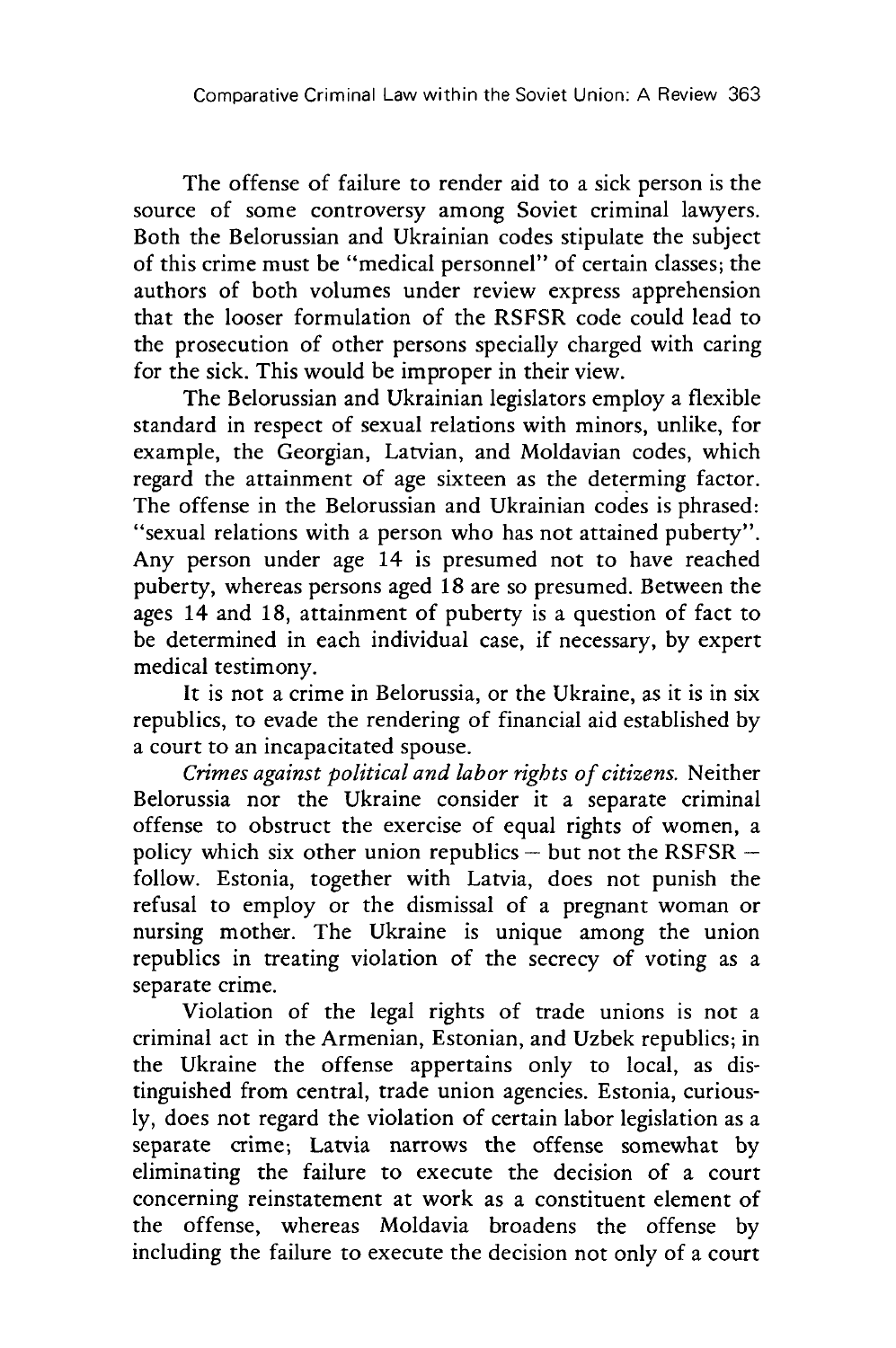The offense of failure to render aid to a sick person is the source of some controversy among Soviet criminal lawyers. Both the Belorussian and Ukrainian codes stipulate the subject of this crime must be "medical personnel" of certain classes; the authors of both volumes under review express apprehension that the looser formulation of the RSFSR code could lead to the prosecution of other persons specially charged with caring for the sick. This would be improper in their view.

The Belorussian and Ukrainian legislators employ a flexible standard in respect of sexual relations with minors, unlike, for example, the Georgian, Latvian, and Moldavian codes, which regard the attainment of age sixteen as the determing factor.<br>The offense in the Belorussian and Ukrainian codes is phrased: "sexual relations with a person who has not attained puberty". Any person under age 14 is presumed not to have reached puberty, whereas persons aged 18 are so presumed. Between the ages 14 and 18, attainment of puberty is a question of fact to be determined in each individual case, if necessary, by expert medical testimony.

It is not a crime in Belorussia, or the Ukraine, as it is in six republics, to evade the rendering of financial aid established by a court to an incapacitated spouse.

*Crimes against political and labor rights of citizens.* Neither Belorussia nor the Ukraine consider it a separate criminal offense to obstruct the exercise of equal rights of women, a policy which six other union republics  $-$  but not the RSFSR  $$ follow. Estonia, together with Latvia, does not punish the refusal to employ or the dismissal of a pregnant woman or nursing mother. The Ukraine is unique among the union republics in treating violation of the secrecy of voting as a separate crime.

Violation of the legal rights of trade unions is not a criminal act in the Armenian, Estonian, and Uzbek republics; in the Ukraine the offense appertains only to local, as distinguished from central, trade union agencies. Estonia, curiously, does not regard the violation of certain labor legislation as a separate crime; Latvia narrows the offense somewhat by eliminating the failure to execute the decision of a court concerning reinstatement at work as a constituent element of the offense, whereas Moldavia broadens the offense by including the failure to execute the decision not only of a court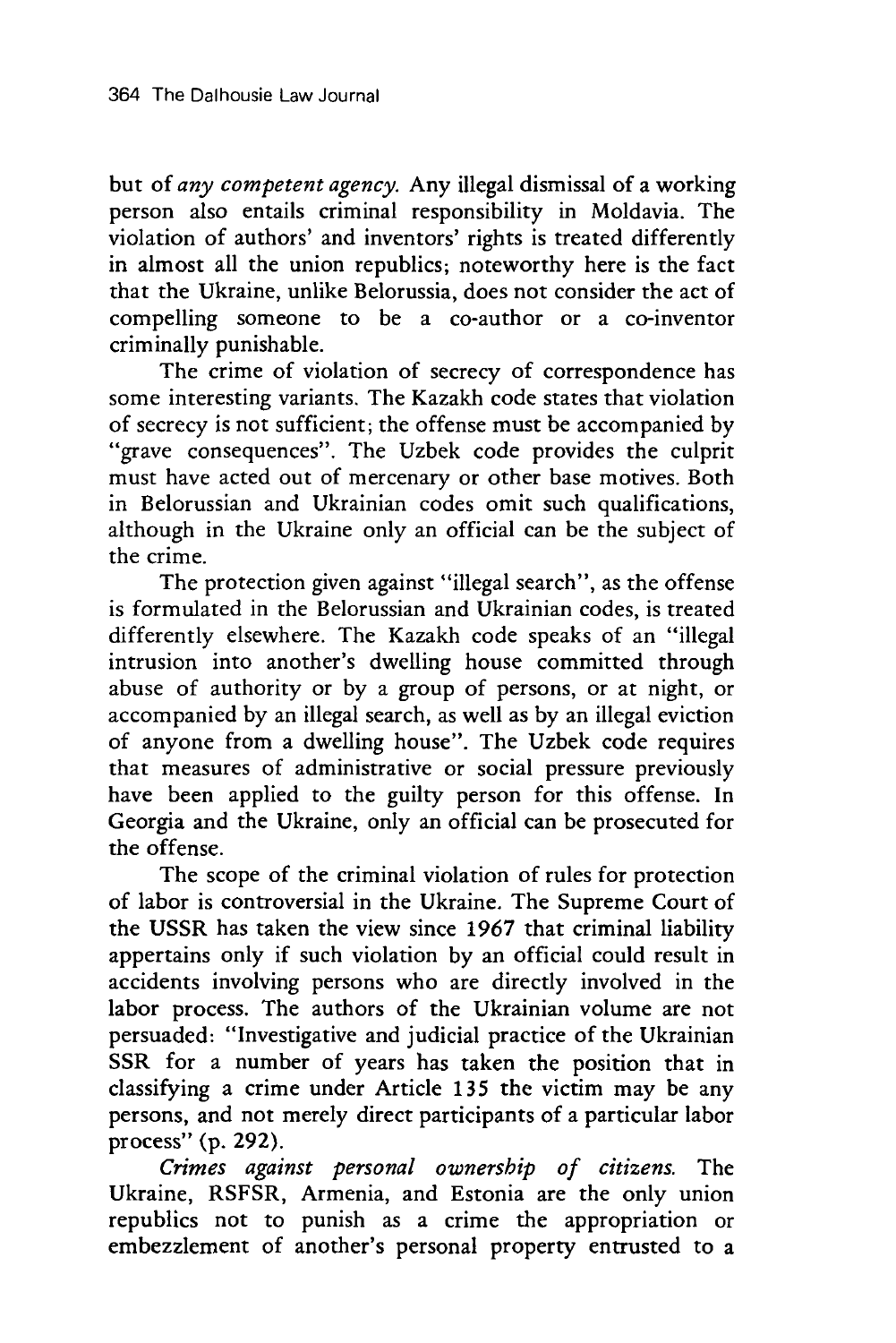but of *any competent agency.* Any illegal dismissal of a working person also entails criminal responsibility in Moldavia. The violation of authors' and inventors' rights is treated differently in almost all the union republics; noteworthy here is the fact that the Ukraine, unlike Belorussia, does not consider the act of compelling someone to be a co-author or a co-inventor criminally punishable.

The crime of violation of secrecy of correspondence has some interesting variants. The Kazakh code states that violation of secrecy is not sufficient; the offense must be accompanied by "grave consequences". The Uzbek code provides the culprit must have acted out of mercenary or other base motives. Both in Belorussian and Ukrainian codes omit such qualifications, although in the Ukraine only an official can be the subject of the crime.

The protection given against "illegal search", as the offense is formulated in the Belorussian and Ukrainian codes, is treated differently elsewhere. The Kazakh code speaks of an "illegal intrusion into another's dwelling house committed through abuse of authority or by a group of persons, or at night, or accompanied by an illegal search, as well as by an illegal eviction of anyone from a dwelling house". The Uzbek code requires that measures of administrative or social pressure previously have been applied to the guilty person for this offense. In Georgia and the Ukraine, only an official can be prosecuted for the offense.

The scope of the criminal violation of rules for protection of labor is controversial in the Ukraine. The Supreme Court of the USSR has taken the view since 1967 that criminal liability appertains only if such violation by an official could result in accidents involving persons who are directly involved in the labor process. The authors of the Ukrainian volume are not persuaded: "Investigative and judicial practice of the Ukrainian SSR for a number of years has taken the position that in classifying a crime under Article 135 the victim may be any persons, and not merely direct participants of a particular labor process" (p. 292).

*Crimes against personal ownersbip of citizens.* The Ukraine, RSFSR, Armenia, and Estonia are the only union republics not to punish as a crime the appropriation or embezzlement of another's personal property entrusted to a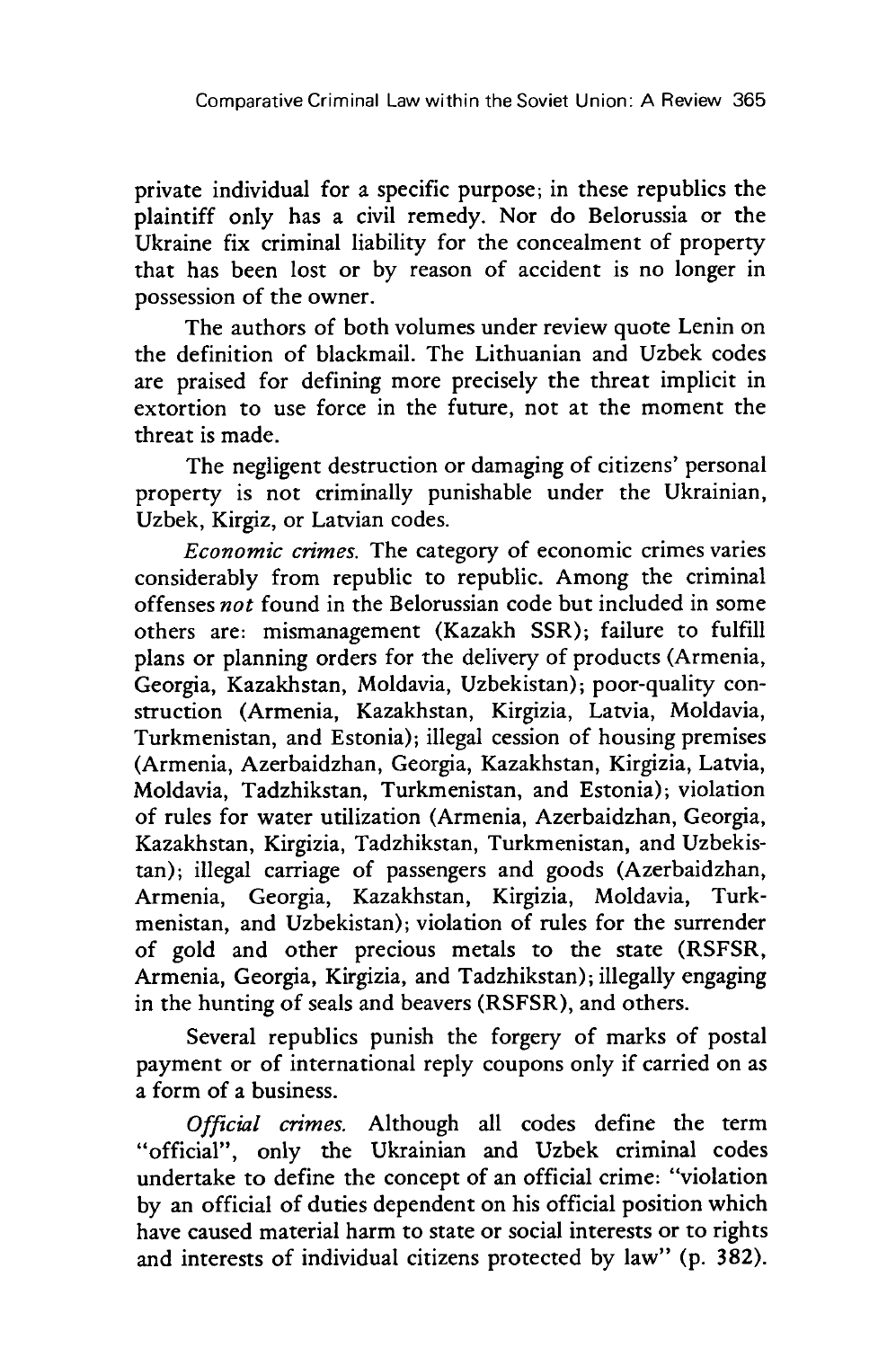private individual for a specific purpose; in these republics the plaintiff only has a civil remedy. Nor do Belorussia or the Ukraine fix criminal liability for the concealment of property that has been lost or by reason of accident is no longer in possession of the owner.

The authors of both volumes under review quote Lenin on the definition of blackmail. The Lithuanian and Uzbek codes are praised for defining more precisely the threat implicit in extortion to use force in the future, not at the moment the threat is made.

The negligent destruction or damaging of citizens' personal property is not criminally punishable under the Ukrainian, Uzbek, Kirgiz, or Latvian codes.

*Economic crimes.* The category of economic crimes varies considerably from republic to republic. Among the criminal offenses *not* found in the Belorussian code but included in some others are: mismanagement (Kazakh SSR); failure to fulfill plans or planning orders for the delivery of products (Armenia, Georgia, Kazakhstan, Moldavia, Uzbekistan); poor-quality construction (Armenia, Kazakhstan, Kirgizia, Latvia, Moldavia, Turkmenistan, and Estonia); illegal cession of housing premises (Armenia, Azerbaidzhan, Georgia, Kazakhstan, Kirgizia, Latvia, Moldavia, Tadzhikstan, Turkmenistan, and Estonia); violation of rules for water utilization (Armenia, Azerbaidzhan, Georgia, Kazakhstan, Kirgizia, Tadzhikstan, Turkmenistan, and Uzbekistan); illegal carriage of passengers and goods (Azerbaidzhan, Armenia, Georgia, Kazakhstan, Kirgizia, Moldavia, Turkmenistan, and Uzbekistan); violation of rules for the surrender of gold and other precious metals to the state (RSFSR, Armenia, Georgia, Kirgizia, and Tadzhikstan); illegally engaging in the hunting of seals and beavers (RSFSR), and others.

Several republics punish the forgery of marks of postal payment or of international reply coupons only if carried on as a form of a business.

*Official crimes.* Although all codes define the term "official", only the Ukrainian and Uzbek criminal codes undertake to define the concept of an official crime: "violation by an official of duties dependent on his official position which have caused material harm to state or social interests or to rights and interests of individual citizens protected by law" (p. 382).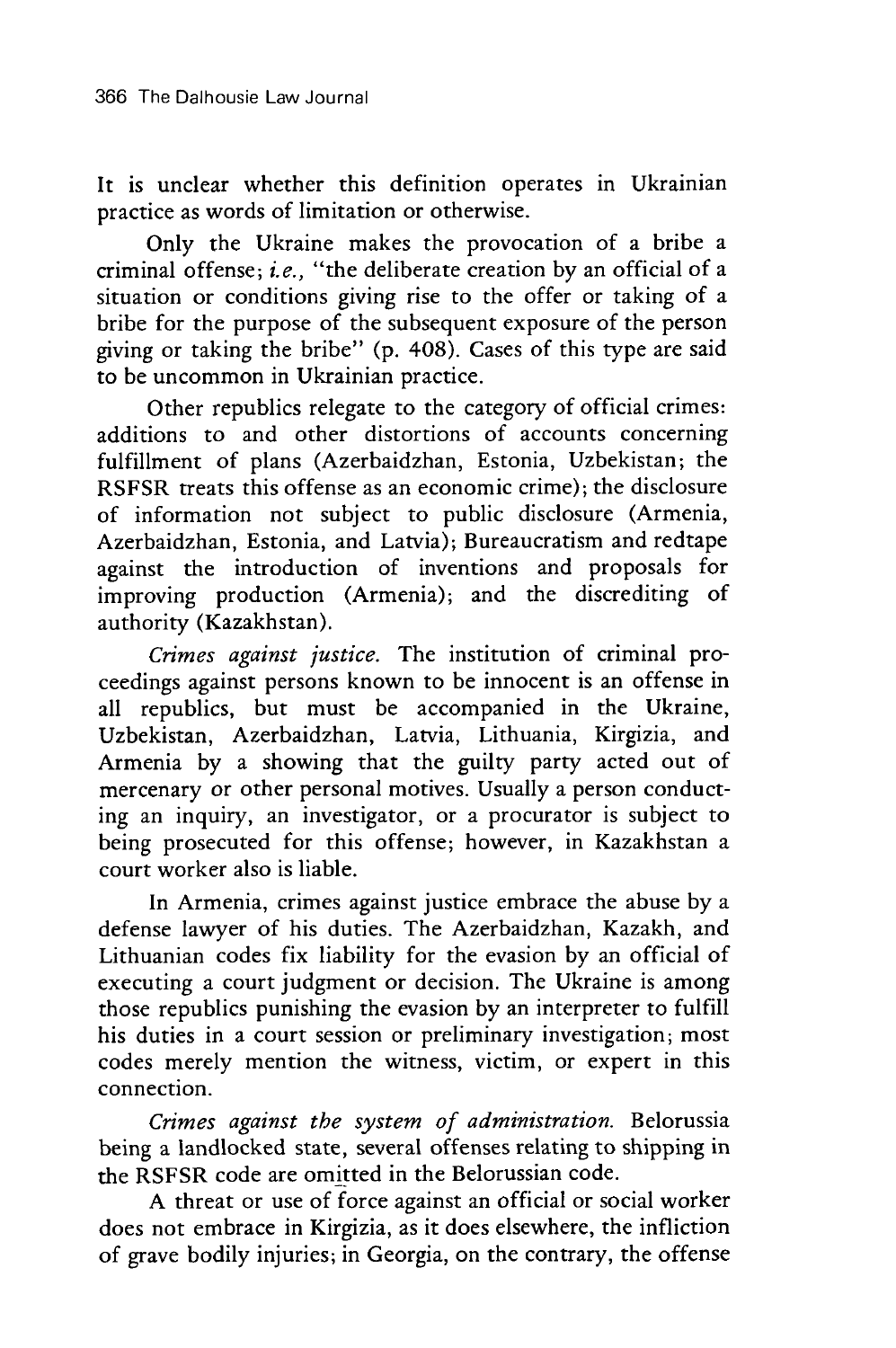It is unclear whether this definition operates in Ukrainian practice as words of limitation or otherwise.

Only the Ukraine makes the provocation of a bribe a criminal offense; *i.e.,* "the deliberate creation by an official of a situation or conditions giving rise to the offer or taking of a bribe for the purpose of the subsequent exposure of the person giving or taking the bribe" (p. 408). Cases of this type are said to be uncommon in Ukrainian practice.

Other republics relegate to the category of official crimes: additions to and other distortions of accounts concerning fulfillment of plans (Azerbaidzhan, Estonia, Uzbekistan; the RSFSR treats this offense as an economic crime); the disclosure of information not subject to public disclosure (Armenia, Azerbaidzhan, Estonia, and Latvia); Bureaucratism and redtape against the introduction of inventions and proposals for improving production (Armenia); and the discrediting of authority (Kazakhstan).

*Crimes against justice.* The institution of criminal proceedings against persons known to be innocent is an offense in all republics, but must be accompanied in the Ukraine, Uzbekistan, Azerbaidzhan, Latvia, Lithuania, Kirgizia, and Armenia by a showing that the guilty party acted out of mercenary or other personal motives. Usually a person conducting an inquiry, an investigator, or a procurator is subject to being prosecuted for this offense; however, in Kazakhstan a court worker also is liable.

In Armenia, crimes against justice embrace the abuse by a defense lawyer of his duties. The Azerbaidzhan, Kazakh, and Lithuanian codes fix liability for the evasion by an official of executing a court judgment or decision. The Ukraine is among those republics punishing the evasion by an interpreter to fulfill his duties in a court session or preliminary investigation; most codes merely mention the witness, victim, or expert in this connection.

*Crimes against the system of administration.* Belorussia being a landlocked state, several offenses relating to shipping in the RSFSR code are omitted in the Belorussian code.

A threat or use of force against an official or social worker does not embrace in Kirgizia, as it does elsewhere, the infliction of grave bodily injuries; in Georgia, on the contrary, the offense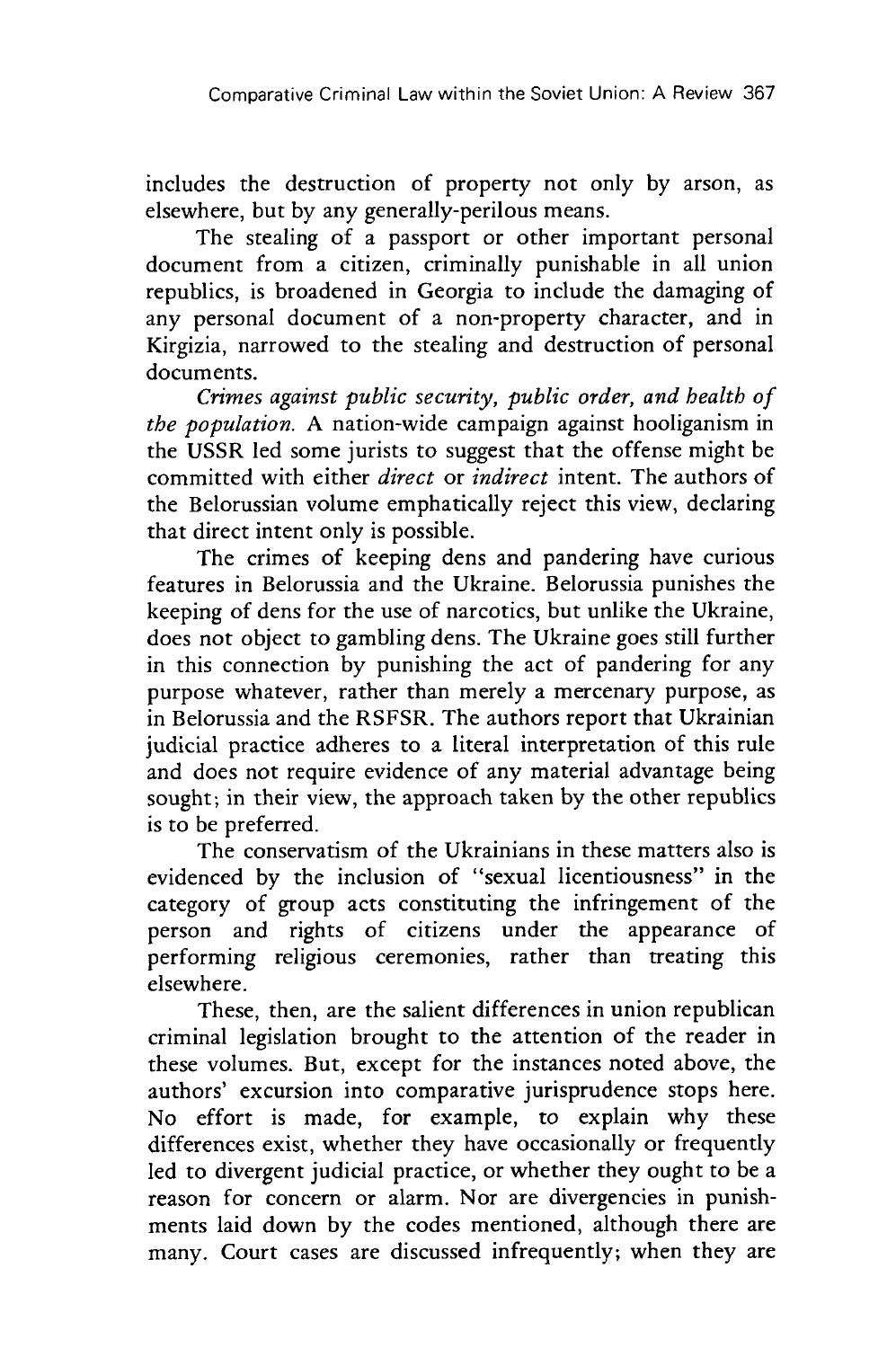includes the destruction of property not only by arson, as elsewhere, but by any generally-perilous means.

The stealing of a passport or other important personal document from a citizen, criminally punishable in all union republics, is broadened in Georgia to include the damaging of any personal document of a non-property character, and in Kirgizia, narrowed to the stealing and destruction of personal documents.

*Crimes against public security, public order, and health of the population.* A nation-wide campaign against hooliganism in the USSR led some jurists to suggest that the offense might be committed with either *direct* or *indirect* intent. The authors of the Belorussian volume emphatically reject this view, declaring that direct intent only is possible.

The crimes of keeping dens and pandering have curious features in Belorussia and the Ukraine. Belorussia punishes the keeping of dens for the use of narcotics, but unlike the Ukraine, does not object to gambling dens. The Ukraine goes still further in this connection by punishing the act of pandering for any purpose whatever, rather than merely a mercenary purpose, as in Belorussia and the RSFSR. The authors report that Ukrainian judicial practice adheres to a literal interpretation of this rule and does not require evidence of any material advantage being sought; in their view, the approach taken by the other republics is to be preferred.

The conservatism of the Ukrainians in these matters also is evidenced by the inclusion of "sexual licentiousness" in the category of group acts constituting the infringement of the person and rights of citizens under the appearance of performing religious ceremonies, rather than treating this elsewhere.

These, then, are the salient differences in union republican criminal legislation brought to the attention of the reader in these volumes. But, except for the instances noted above, the authors' excursion into comparative jurisprudence stops here. No effort is made, for example, to explain why these differences exist, whether they have occasionally or frequently led to divergent judicial practice, or whether they ought to be a reason for concern or alarm. Nor are divergencies in punishments laid down by the codes mentioned, although there are many. Court cases are discussed infrequently; when they are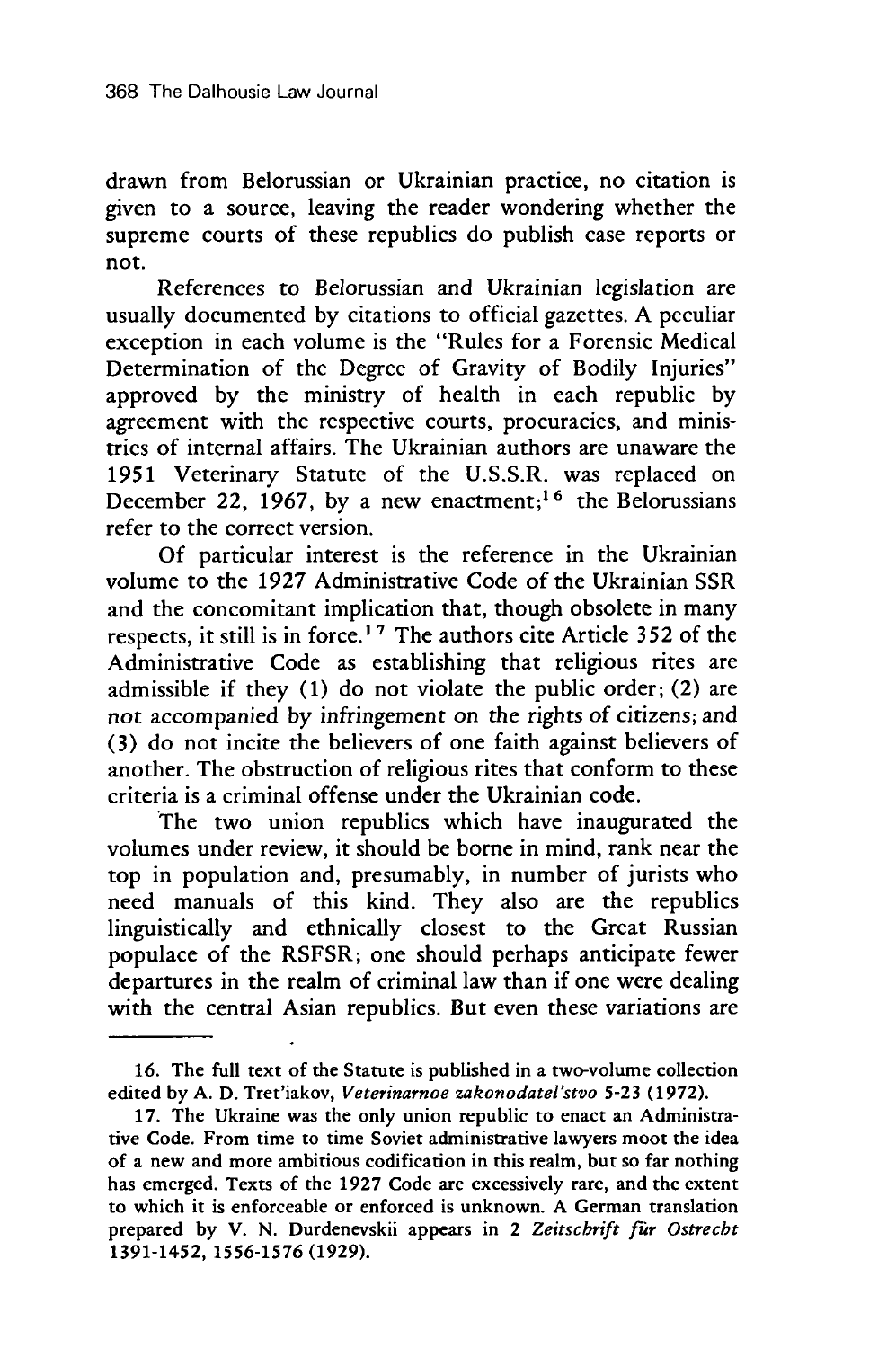drawn from Belorussian or Ukrainian practice, no citation is given to a source, leaving the reader wondering whether the supreme courts of these republics do publish case reports or not.

References to Belorussian and Ukrainian legislation are usually documented by citations to official gazettes. A peculiar exception in each volume is the "Rules for a Forensic Medical Determination of the Degree of Gravity of Bodily Injuries" approved by the ministry of health in each republic by agreement with the respective courts, procuracies, and ministries of internal affairs. The Ukrainian authors are unaware the 1951 Veterinary Statute of the U.S.S.R. was replaced on December 22, 1967, by a new enactment;<sup>16</sup> the Belorussians refer to the correct version.

Of particular interest is the reference in the Ukrainian volume to the 1927 Administrative Code of the Ukrainian SSR and the concomitant implication that, though obsolete in many respects, it still is in force. **' 7** The authors cite Article 352 of the Administrative Code as establishing that religious rites are admissible if they (1) do not violate the public order; (2) are not accompanied by infringement on the rights of citizens; and (3) do not incite the believers of one faith against believers of another. The obstruction of religious rites that conform to these criteria is a criminal offense under the Ukrainian code.

The two union republics which have inaugurated the volumes under review, it should be borne in mind, rank near the top in population and, presumably, in number of jurists who need manuals of this kind. They also are the republics linguistically and ethnically closest to the Great Russian populace of the RSFSR; one should perhaps anticipate fewer departures in the realm of criminal law than if one were dealing with the central Asian republics. But even these variations are

**<sup>16.</sup>** The full text of the Statute is published in a two-volume collection edited **by** A. **D.** Tret'iakov, *Veterinarnoe zakonodatel'stvo* **5-23** (1972).

<sup>17.</sup> The Ukraine was the only union republic to enact an Administrative Code. From time to time Soviet administrative lawyers moot the idea of a new and more ambitious codification in this realm, but so far nothing has emerged. Texts of the 1927 Code are excessively rare, and the extent to which it is enforceable or enforced is unknown. A German translation prepared by V. N. Durdenevskii appears in 2 *Zeitscbrift fir Ostrecbt* 1391-1452, **1556-1576 (1929).**